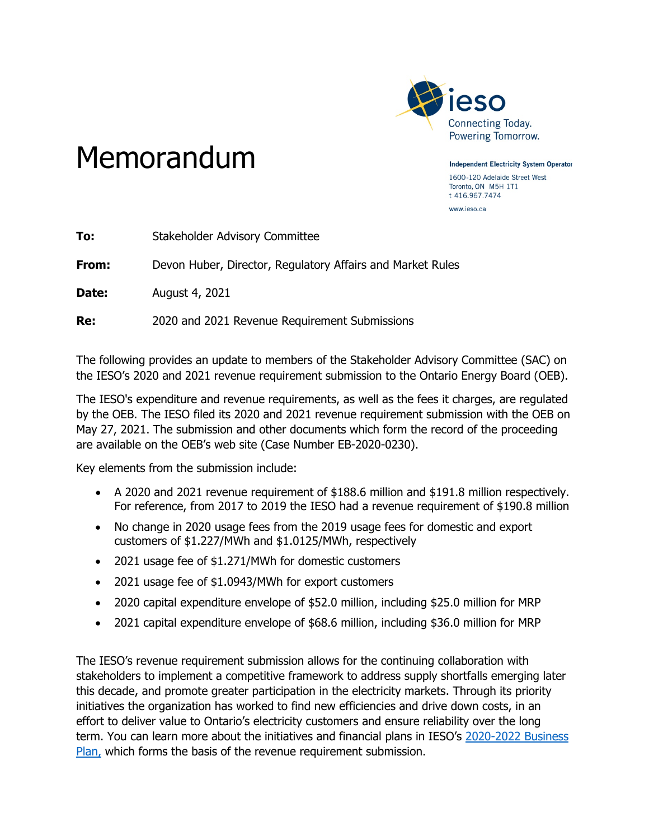

## Memorandum

**Independent Electricity System Operator** 1600-120 Adelaide Street West Toronto, ON M5H 1T1 t 416.967.7474 www.ieso.ca

| To:   | <b>Stakeholder Advisory Committee</b>                      |
|-------|------------------------------------------------------------|
| From: | Devon Huber, Director, Regulatory Affairs and Market Rules |
| Date: | August 4, 2021                                             |
| Re:   | 2020 and 2021 Revenue Requirement Submissions              |

The following provides an update to members of the Stakeholder Advisory Committee (SAC) on the IESO's 2020 and 2021 revenue requirement submission to the Ontario Energy Board (OEB).

The IESO's expenditure and revenue requirements, as well as the fees it charges, are regulated by the OEB. The IESO filed its 2020 and 2021 revenue requirement submission with the OEB on May 27, 2021. The submission and other documents which form the record of the proceeding are available on the OEB's web site (Case Number EB-2020-0230).

Key elements from the submission include:

- A 2020 and 2021 revenue requirement of \$188.6 million and \$191.8 million respectively. For reference, from 2017 to 2019 the IESO had a revenue requirement of \$190.8 million
- No change in 2020 usage fees from the 2019 usage fees for domestic and export customers of \$1.227/MWh and \$1.0125/MWh, respectively
- 2021 usage fee of \$1.271/MWh for domestic customers
- 2021 usage fee of \$1.0943/MWh for export customers
- 2020 capital expenditure envelope of \$52.0 million, including \$25.0 million for MRP
- 2021 capital expenditure envelope of \$68.6 million, including \$36.0 million for MRP

The IESO's revenue requirement submission allows for the continuing collaboration with stakeholders to implement a competitive framework to address supply shortfalls emerging later this decade, and promote greater participation in the electricity markets. Through its priority initiatives the organization has worked to find new efficiencies and drive down costs, in an effort to deliver value to Ontario's electricity customers and ensure reliability over the long term. You can learn more about the initiatives and financial plans in IESO's [2020-2022 Business](https://www.ieso.ca/-/media/Files/IESO/Document-Library/corporate/financial/IESO-BusinessPlan-2020.ashx)  [Plan,](https://www.ieso.ca/-/media/Files/IESO/Document-Library/corporate/financial/IESO-BusinessPlan-2020.ashx) which forms the basis of the revenue requirement submission.